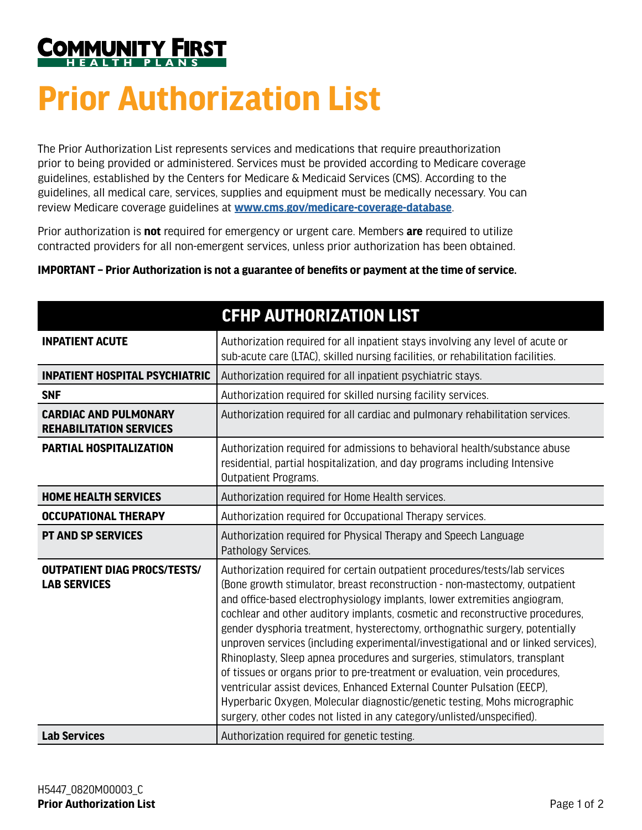

## **Prior Authorization List**

The Prior Authorization List represents services and medications that require preauthorization prior to being provided or administered. Services must be provided according to Medicare coverage guidelines, established by the Centers for Medicare & Medicaid Services (CMS). According to the guidelines, all medical care, services, supplies and equipment must be medically necessary. You can review Medicare coverage guidelines at **<www.cms.gov/medicare-coverage-database>**.

Prior authorization is **not** required for emergency or urgent care. Members **are** required to utilize contracted providers for all non-emergent services, unless prior authorization has been obtained.

## **IMPORTANT – Prior Authorization is not a guarantee of benefits or payment at the time of service.**

|                                                                | <b>CFHP AUTHORIZATION LIST</b>                                                                                                                                                                                                                                                                                                                                                                                                                                                                                                                                                                                                                                                                                                                                                                                                                                                                |
|----------------------------------------------------------------|-----------------------------------------------------------------------------------------------------------------------------------------------------------------------------------------------------------------------------------------------------------------------------------------------------------------------------------------------------------------------------------------------------------------------------------------------------------------------------------------------------------------------------------------------------------------------------------------------------------------------------------------------------------------------------------------------------------------------------------------------------------------------------------------------------------------------------------------------------------------------------------------------|
| <b>INPATIENT ACUTE</b>                                         | Authorization required for all inpatient stays involving any level of acute or<br>sub-acute care (LTAC), skilled nursing facilities, or rehabilitation facilities.                                                                                                                                                                                                                                                                                                                                                                                                                                                                                                                                                                                                                                                                                                                            |
| <b>INPATIENT HOSPITAL PSYCHIATRIC</b>                          | Authorization required for all inpatient psychiatric stays.                                                                                                                                                                                                                                                                                                                                                                                                                                                                                                                                                                                                                                                                                                                                                                                                                                   |
| <b>SNF</b>                                                     | Authorization required for skilled nursing facility services.                                                                                                                                                                                                                                                                                                                                                                                                                                                                                                                                                                                                                                                                                                                                                                                                                                 |
| <b>CARDIAC AND PULMONARY</b><br><b>REHABILITATION SERVICES</b> | Authorization required for all cardiac and pulmonary rehabilitation services.                                                                                                                                                                                                                                                                                                                                                                                                                                                                                                                                                                                                                                                                                                                                                                                                                 |
| <b>PARTIAL HOSPITALIZATION</b>                                 | Authorization required for admissions to behavioral health/substance abuse<br>residential, partial hospitalization, and day programs including Intensive<br><b>Outpatient Programs.</b>                                                                                                                                                                                                                                                                                                                                                                                                                                                                                                                                                                                                                                                                                                       |
| <b>HOME HEALTH SERVICES</b>                                    | Authorization required for Home Health services.                                                                                                                                                                                                                                                                                                                                                                                                                                                                                                                                                                                                                                                                                                                                                                                                                                              |
| <b>OCCUPATIONAL THERAPY</b>                                    | Authorization required for Occupational Therapy services.                                                                                                                                                                                                                                                                                                                                                                                                                                                                                                                                                                                                                                                                                                                                                                                                                                     |
| <b>PT AND SP SERVICES</b>                                      | Authorization required for Physical Therapy and Speech Language<br>Pathology Services.                                                                                                                                                                                                                                                                                                                                                                                                                                                                                                                                                                                                                                                                                                                                                                                                        |
| <b>OUTPATIENT DIAG PROCS/TESTS/</b><br><b>LAB SERVICES</b>     | Authorization required for certain outpatient procedures/tests/lab services<br>(Bone growth stimulator, breast reconstruction - non-mastectomy, outpatient<br>and office-based electrophysiology implants, lower extremities angiogram,<br>cochlear and other auditory implants, cosmetic and reconstructive procedures,<br>gender dysphoria treatment, hysterectomy, orthognathic surgery, potentially<br>unproven services (including experimental/investigational and or linked services),<br>Rhinoplasty, Sleep apnea procedures and surgeries, stimulators, transplant<br>of tissues or organs prior to pre-treatment or evaluation, vein procedures,<br>ventricular assist devices, Enhanced External Counter Pulsation (EECP),<br>Hyperbaric Oxygen, Molecular diagnostic/genetic testing, Mohs micrographic<br>surgery, other codes not listed in any category/unlisted/unspecified). |
| <b>Lab Services</b>                                            | Authorization required for genetic testing.                                                                                                                                                                                                                                                                                                                                                                                                                                                                                                                                                                                                                                                                                                                                                                                                                                                   |